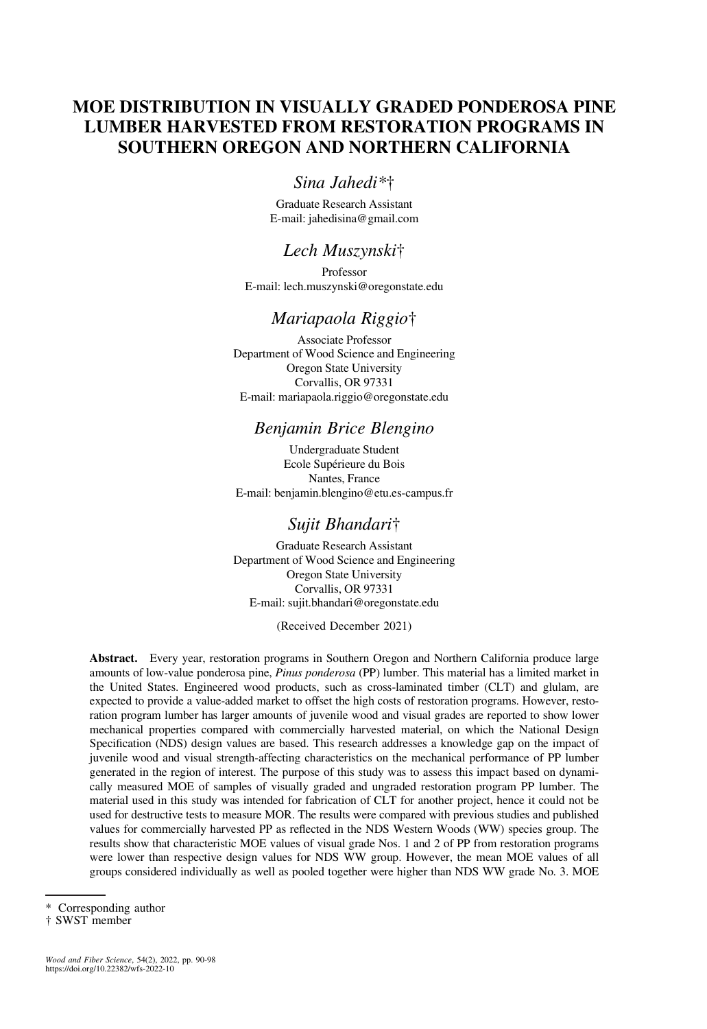# MOE DISTRIBUTION IN VISUALLY GRADED PONDEROSA PINE LUMBER HARVESTED FROM RESTORATION PROGRAMS IN SOUTHERN OREGON AND NORTHERN CALIFORNIA

# Sina Jahedi\*†

Graduate Research Assistant E-mail: [jahedisina@gmail.com](mailto:jahedisina@gmail.com)

# Lech Muszynski†

Professor E-mail: [lech.muszynski@oregonstate.edu](mailto:lech.muszynski@oregonstate.edu)

### Mariapaola Riggio†

Associate Professor Department of Wood Science and Engineering Oregon State University Corvallis, OR 97331 E-mail: [mariapaola.riggio@oregonstate.edu](mailto:mariapaola.riggio@oregonstate.edu)

# Benjamin Brice Blengino

Undergraduate Student Ecole Supérieure du Bois Nantes, France E-mail: [benjamin.blengino@etu.es-campus.fr](mailto:benjamin.blengino@etu.es-campus.fr)

# Sujit Bhandari†

Graduate Research Assistant Department of Wood Science and Engineering Oregon State University Corvallis, OR 97331 E-mail: [sujit.bhandari@oregonstate.edu](mailto:sujit.bhandari@oregonstate.edu)

(Received December 2021)

Abstract. Every year, restoration programs in Southern Oregon and Northern California produce large amounts of low-value ponderosa pine, Pinus ponderosa (PP) lumber. This material has a limited market in the United States. Engineered wood products, such as cross-laminated timber (CLT) and glulam, are expected to provide a value-added market to offset the high costs of restoration programs. However, restoration program lumber has larger amounts of juvenile wood and visual grades are reported to show lower mechanical properties compared with commercially harvested material, on which the National Design Specification (NDS) design values are based. This research addresses a knowledge gap on the impact of juvenile wood and visual strength-affecting characteristics on the mechanical performance of PP lumber generated in the region of interest. The purpose of this study was to assess this impact based on dynamically measured MOE of samples of visually graded and ungraded restoration program PP lumber. The material used in this study was intended for fabrication of CLT for another project, hence it could not be used for destructive tests to measure MOR. The results were compared with previous studies and published values for commercially harvested PP as reflected in the NDS Western Woods (WW) species group. The results show that characteristic MOE values of visual grade Nos. 1 and 2 of PP from restoration programs were lower than respective design values for NDS WW group. However, the mean MOE values of all groups considered individually as well as pooled together were higher than NDS WW grade No. 3. MOE

Corresponding author

<sup>†</sup> SWST member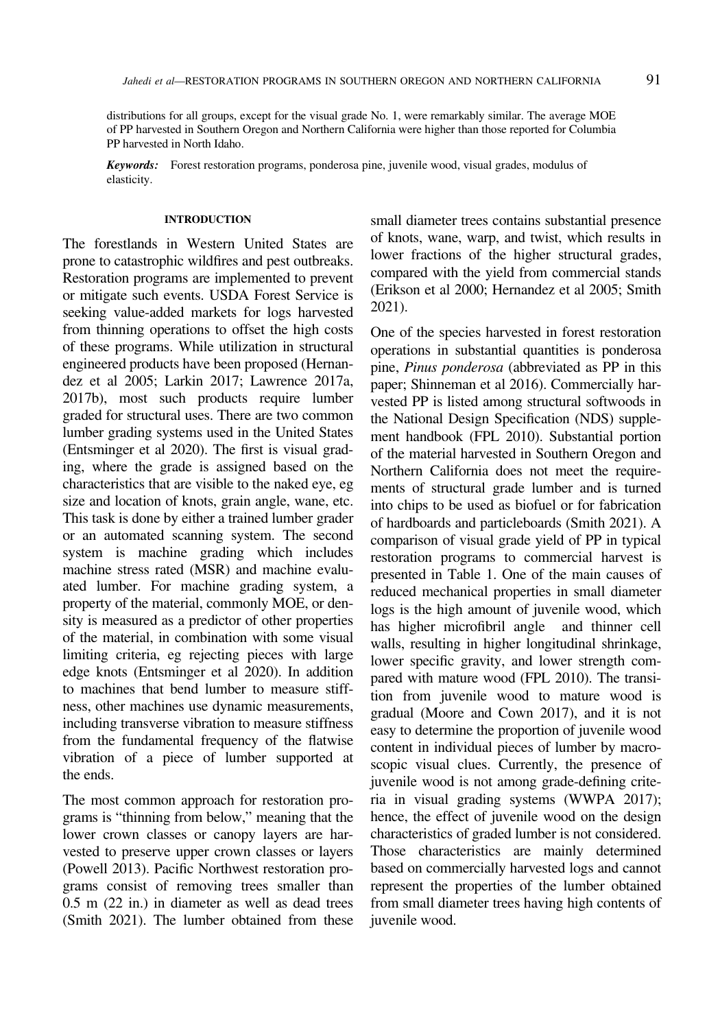distributions for all groups, except for the visual grade No. 1, were remarkably similar. The average MOE of PP harvested in Southern Oregon and Northern California were higher than those reported for Columbia PP harvested in North Idaho.

Keywords: Forest restoration programs, ponderosa pine, juvenile wood, visual grades, modulus of elasticity.

### INTRODUCTION

The forestlands in Western United States are prone to catastrophic wildfires and pest outbreaks. Restoration programs are implemented to prevent or mitigate such events. USDA Forest Service is seeking value-added markets for logs harvested from thinning operations to offset the high costs of these programs. While utilization in structural engineered products have been proposed [\(Hernan](#page-8-0)[dez et al 2005; Larkin 2017](#page-8-0); [Lawrence 2017a,](#page-8-0) [2017b](#page-8-0)), most such products require lumber graded for structural uses. There are two common lumber grading systems used in the United States [\(Entsminger et al 2020\)](#page-8-0). The first is visual grading, where the grade is assigned based on the characteristics that are visible to the naked eye, eg size and location of knots, grain angle, wane, etc. This task is done by either a trained lumber grader or an automated scanning system. The second system is machine grading which includes machine stress rated (MSR) and machine evaluated lumber. For machine grading system, a property of the material, commonly MOE, or density is measured as a predictor of other properties of the material, in combination with some visual limiting criteria, eg rejecting pieces with large edge knots [\(Entsminger et al 2020](#page-8-0)). In addition to machines that bend lumber to measure stiffness, other machines use dynamic measurements, including transverse vibration to measure stiffness from the fundamental frequency of the flatwise vibration of a piece of lumber supported at the ends.

The most common approach for restoration programs is "thinning from below," meaning that the lower crown classes or canopy layers are harvested to preserve upper crown classes or layers [\(Powell 2013\)](#page-8-0). Pacific Northwest restoration programs consist of removing trees smaller than 0.5 m (22 in.) in diameter as well as dead trees [\(Smith 2021\)](#page-8-0). The lumber obtained from these small diameter trees contains substantial presence of knots, wane, warp, and twist, which results in lower fractions of the higher structural grades, compared with the yield from commercial stands ([Erikson et al 2000; Hernandez et al 2005; Smith](#page-8-0) [2021\)](#page-8-0).

One of the species harvested in forest restoration operations in substantial quantities is ponderosa pine, Pinus ponderosa (abbreviated as PP in this paper; [Shinneman et al 2016](#page-8-0)). Commercially harvested PP is listed among structural softwoods in the National Design Specification (NDS) supplement handbook [\(FPL 2010](#page-8-0)). Substantial portion of the material harvested in Southern Oregon and Northern California does not meet the requirements of structural grade lumber and is turned into chips to be used as biofuel or for fabrication of hardboards and particleboards [\(Smith 2021\)](#page-8-0). A comparison of visual grade yield of PP in typical restoration programs to commercial harvest is presented in Table [1](#page-2-0). One of the main causes of reduced mechanical properties in small diameter logs is the high amount of juvenile wood, which has higher microfibril angle and thinner cell walls, resulting in higher longitudinal shrinkage, lower specific gravity, and lower strength compared with mature wood ([FPL 2010\)](#page-8-0). The transition from juvenile wood to mature wood is gradual [\(Moore and Cown 2017](#page-8-0)), and it is not easy to determine the proportion of juvenile wood content in individual pieces of lumber by macroscopic visual clues. Currently, the presence of juvenile wood is not among grade-defining criteria in visual grading systems [\(WWPA 2017\)](#page-8-0); hence, the effect of juvenile wood on the design characteristics of graded lumber is not considered. Those characteristics are mainly determined based on commercially harvested logs and cannot represent the properties of the lumber obtained from small diameter trees having high contents of juvenile wood.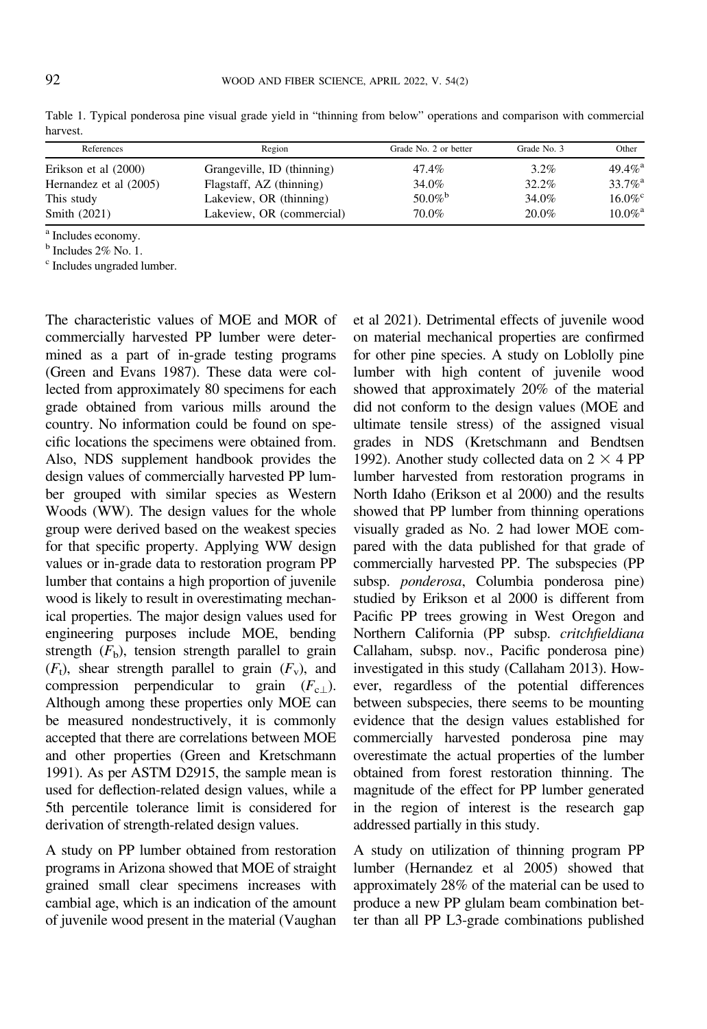| References             | Region                     | Grade No. 2 or better | Grade No. 3 | Other                 |  |
|------------------------|----------------------------|-----------------------|-------------|-----------------------|--|
| Erikson et al (2000)   | Grangeville, ID (thinning) | 47.4%                 | $3.2\%$     | $49.4\%$ <sup>2</sup> |  |
| Hernandez et al (2005) | Flagstaff, AZ (thinning)   | 34.0%                 | 32.2%       | $33.7\%$ <sup>2</sup> |  |
| This study             | Lakeview, OR (thinning)    | 50.0% <sup>b</sup>    | 34.0%       | $16.0\%$              |  |
| Smith (2021)           | Lakeview, OR (commercial)  | 70.0%                 | 20.0%       | $10.0\%$ <sup>2</sup> |  |

<span id="page-2-0"></span>Table 1. Typical ponderosa pine visual grade yield in "thinning from below" operations and comparison with commercial harvest.

<sup>a</sup> Includes economy.

<sup>b</sup> Includes 2% No. 1.

<sup>c</sup> Includes ungraded lumber.

The characteristic values of MOE and MOR of commercially harvested PP lumber were determined as a part of in-grade testing programs [\(Green and Evans 1987](#page-8-0)). These data were collected from approximately 80 specimens for each grade obtained from various mills around the country. No information could be found on specific locations the specimens were obtained from. Also, NDS supplement handbook provides the design values of commercially harvested PP lumber grouped with similar species as Western Woods (WW). The design values for the whole group were derived based on the weakest species for that specific property. Applying WW design values or in-grade data to restoration program PP lumber that contains a high proportion of juvenile wood is likely to result in overestimating mechanical properties. The major design values used for engineering purposes include MOE, bending strength  $(F<sub>b</sub>)$ , tension strength parallel to grain  $(F_t)$ , shear strength parallel to grain  $(F_v)$ , and compression perpendicular to grain  $(F_{c})$ . Although among these properties only MOE can be measured nondestructively, it is commonly accepted that there are correlations between MOE and other properties [\(Green and Kretschmann](#page-8-0) [1991](#page-8-0)). As per ASTM D2915, the sample mean is used for deflection-related design values, while a 5th percentile tolerance limit is considered for derivation of strength-related design values.

A study on PP lumber obtained from restoration programs in Arizona showed that MOE of straight grained small clear specimens increases with cambial age, which is an indication of the amount of juvenile wood present in the material ([Vaughan](#page-8-0) [et al 2021](#page-8-0)). Detrimental effects of juvenile wood on material mechanical properties are confirmed for other pine species. A study on Loblolly pine lumber with high content of juvenile wood showed that approximately 20% of the material did not conform to the design values (MOE and ultimate tensile stress) of the assigned visual grades in NDS [\(Kretschmann and Bendtsen](#page-8-0) [1992\)](#page-8-0). Another study collected data on  $2 \times 4$  PP lumber harvested from restoration programs in North Idaho [\(Erikson et al 2000](#page-8-0)) and the results showed that PP lumber from thinning operations visually graded as No. 2 had lower MOE compared with the data published for that grade of commercially harvested PP. The subspecies (PP subsp. ponderosa, Columbia ponderosa pine) studied by [Erikson et al 2000](#page-8-0) is different from Pacific PP trees growing in West Oregon and Northern California (PP subsp. critchfieldiana Callaham, subsp. nov., Pacific ponderosa pine) investigated in this study ([Callaham 2013\)](#page-8-0). However, regardless of the potential differences between subspecies, there seems to be mounting evidence that the design values established for commercially harvested ponderosa pine may overestimate the actual properties of the lumber obtained from forest restoration thinning. The magnitude of the effect for PP lumber generated in the region of interest is the research gap addressed partially in this study.

A study on utilization of thinning program PP lumber ([Hernandez et al 2005](#page-8-0)) showed that approximately 28% of the material can be used to produce a new PP glulam beam combination better than all PP L3-grade combinations published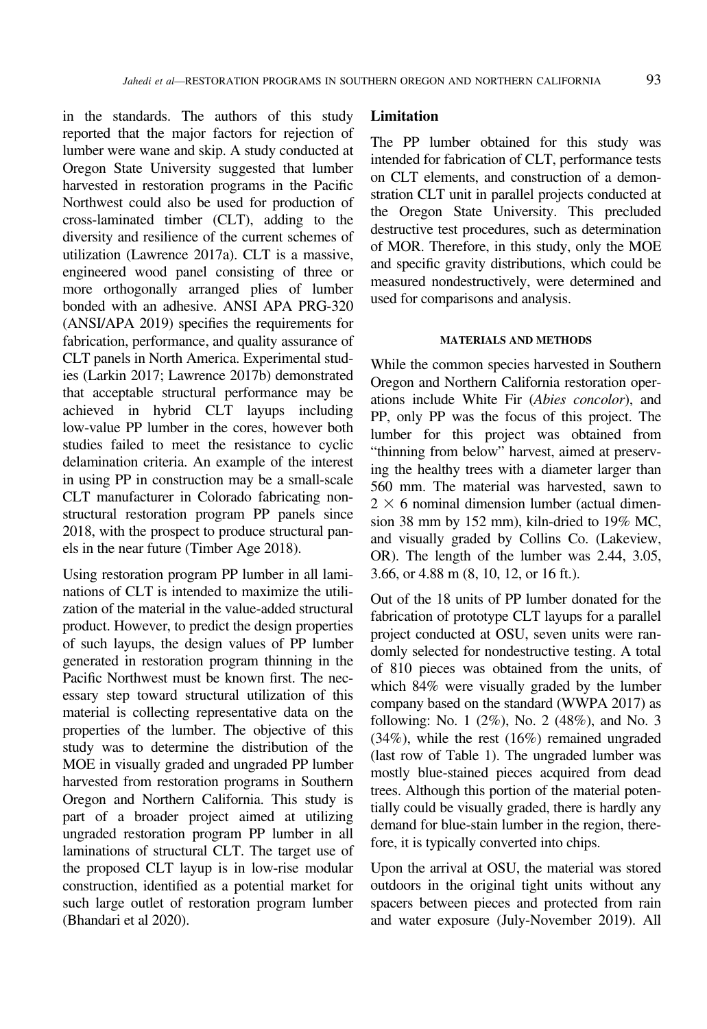in the standards. The authors of this study reported that the major factors for rejection of lumber were wane and skip. A study conducted at Oregon State University suggested that lumber harvested in restoration programs in the Pacific Northwest could also be used for production of cross-laminated timber (CLT), adding to the diversity and resilience of the current schemes of utilization ([Lawrence 2017a](#page-8-0)). CLT is a massive, engineered wood panel consisting of three or more orthogonally arranged plies of lumber bonded with an adhesive. ANSI APA PRG-320 [\(ANSI/APA 2019](#page-8-0)) specifies the requirements for fabrication, performance, and quality assurance of CLT panels in North America. Experimental studies ([Larkin 2017; Lawrence 2017b](#page-8-0)) demonstrated that acceptable structural performance may be achieved in hybrid CLT layups including low-value PP lumber in the cores, however both studies failed to meet the resistance to cyclic delamination criteria. An example of the interest in using PP in construction may be a small-scale CLT manufacturer in Colorado fabricating nonstructural restoration program PP panels since 2018, with the prospect to produce structural panels in the near future [\(Timber Age 2018](#page-8-0)).

Using restoration program PP lumber in all laminations of CLT is intended to maximize the utilization of the material in the value-added structural product. However, to predict the design properties of such layups, the design values of PP lumber generated in restoration program thinning in the Pacific Northwest must be known first. The necessary step toward structural utilization of this material is collecting representative data on the properties of the lumber. The objective of this study was to determine the distribution of the MOE in visually graded and ungraded PP lumber harvested from restoration programs in Southern Oregon and Northern California. This study is part of a broader project aimed at utilizing ungraded restoration program PP lumber in all laminations of structural CLT. The target use of the proposed CLT layup is in low-rise modular construction, identified as a potential market for such large outlet of restoration program lumber [\(Bhandari et al 2020\)](#page-8-0).

### **Limitation**

The PP lumber obtained for this study was intended for fabrication of CLT, performance tests on CLT elements, and construction of a demonstration CLT unit in parallel projects conducted at the Oregon State University. This precluded destructive test procedures, such as determination of MOR. Therefore, in this study, only the MOE and specific gravity distributions, which could be measured nondestructively, were determined and used for comparisons and analysis.

### MATERIALS AND METHODS

While the common species harvested in Southern Oregon and Northern California restoration operations include White Fir (Abies concolor), and PP, only PP was the focus of this project. The lumber for this project was obtained from "thinning from below" harvest, aimed at preserving the healthy trees with a diameter larger than 560 mm. The material was harvested, sawn to  $2 \times 6$  nominal dimension lumber (actual dimension 38 mm by 152 mm), kiln-dried to 19% MC, and visually graded by Collins Co. (Lakeview, OR). The length of the lumber was 2.44, 3.05, 3.66, or 4.88 m (8, 10, 12, or 16 ft.).

Out of the 18 units of PP lumber donated for the fabrication of prototype CLT layups for a parallel project conducted at OSU, seven units were randomly selected for nondestructive testing. A total of 810 pieces was obtained from the units, of which 84% were visually graded by the lumber company based on the standard [\(WWPA 2017\)](#page-8-0) as following: No. 1 (2%), No. 2 (48%), and No. 3 (34%), while the rest (16%) remained ungraded (last row of Table [1](#page-2-0)). The ungraded lumber was mostly blue-stained pieces acquired from dead trees. Although this portion of the material potentially could be visually graded, there is hardly any demand for blue-stain lumber in the region, therefore, it is typically converted into chips.

Upon the arrival at OSU, the material was stored outdoors in the original tight units without any spacers between pieces and protected from rain and water exposure (July-November 2019). All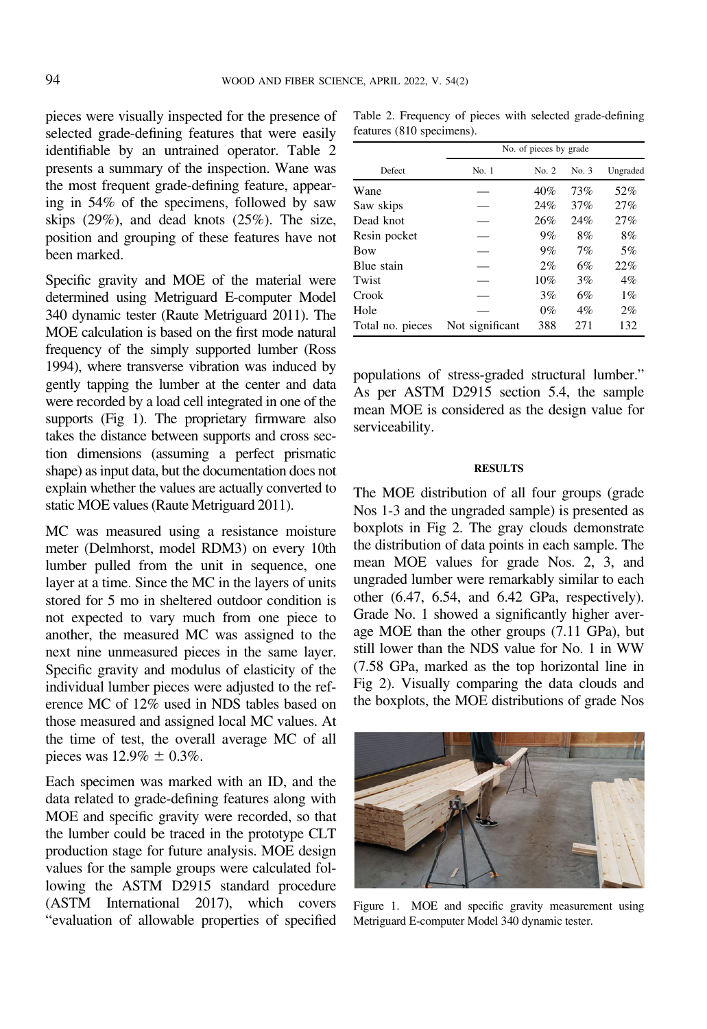pieces were visually inspected for the presence of selected grade-defining features that were easily identifiable by an untrained operator. Table 2 presents a summary of the inspection. Wane was the most frequent grade-defining feature, appearing in 54% of the specimens, followed by saw skips (29%), and dead knots (25%). The size, position and grouping of these features have not been marked.

Specific gravity and MOE of the material were determined using Metriguard E-computer Model 340 dynamic tester [\(Raute Metriguard 2011\)](#page-8-0). The MOE calculation is based on the first mode natural frequency of the simply supported lumber [\(Ross](#page-8-0) [1994\)](#page-8-0), where transverse vibration was induced by gently tapping the lumber at the center and data were recorded by a load cell integrated in one of the supports (Fig 1). The proprietary firmware also takes the distance between supports and cross section dimensions (assuming a perfect prismatic shape) as input data, but the documentation does not explain whether the values are actually converted to static MOE values [\(Raute Metriguard 2011](#page-8-0)).

MC was measured using a resistance moisture meter (Delmhorst, model RDM3) on every 10th lumber pulled from the unit in sequence, one layer at a time. Since the MC in the layers of units stored for 5 mo in sheltered outdoor condition is not expected to vary much from one piece to another, the measured MC was assigned to the next nine unmeasured pieces in the same layer. Specific gravity and modulus of elasticity of the individual lumber pieces were adjusted to the reference MC of 12% used in NDS tables based on those measured and assigned local MC values. At the time of test, the overall average MC of all pieces was  $12.9\% \pm 0.3\%$ .

Each specimen was marked with an ID, and the data related to grade-defining features along with MOE and specific gravity were recorded, so that the lumber could be traced in the prototype CLT production stage for future analysis. MOE design values for the sample groups were calculated following the ASTM D2915 standard procedure (ASTM International 2017), which covers "evaluation of allowable properties of specified

Table 2. Frequency of pieces with selected grade-defining features (810 specimens).

|                  | No. of pieces by grade |       |       |          |  |
|------------------|------------------------|-------|-------|----------|--|
| Defect           | No. 1                  | No. 2 | No. 3 | Ungraded |  |
| Wane             |                        | 40%   | 73%   | 52%      |  |
| Saw skips        |                        | 24%   | 37%   | 27%      |  |
| Dead knot        |                        | 26%   | 24%   | 27%      |  |
| Resin pocket     |                        | 9%    | 8%    | 8%       |  |
| <b>Bow</b>       |                        | 9%    | 7%    | 5%       |  |
| Blue stain       |                        | $2\%$ | 6%    | 22%      |  |
| Twist            |                        | 10%   | 3%    | $4\%$    |  |
| Crook            |                        | 3%    | 6%    | $1\%$    |  |
| Hole             |                        | $0\%$ | $4\%$ | $2\%$    |  |
| Total no. pieces | Not significant        | 388   | 271   | 132      |  |

populations of stress-graded structural lumber." As per ASTM D2915 section 5.4, the sample mean MOE is considered as the design value for serviceability.

#### RESULTS

The MOE distribution of all four groups (grade Nos 1-3 and the ungraded sample) is presented as boxplots in Fig [2.](#page-5-0) The gray clouds demonstrate the distribution of data points in each sample. The mean MOE values for grade Nos. 2, 3, and ungraded lumber were remarkably similar to each other (6.47, 6.54, and 6.42 GPa, respectively). Grade No. 1 showed a significantly higher average MOE than the other groups (7.11 GPa), but still lower than the NDS value for No. 1 in WW (7.58 GPa, marked as the top horizontal line in Fig [2\)](#page-5-0). Visually comparing the data clouds and the boxplots, the MOE distributions of grade Nos



Figure 1. MOE and specific gravity measurement using Metriguard E-computer Model 340 dynamic tester.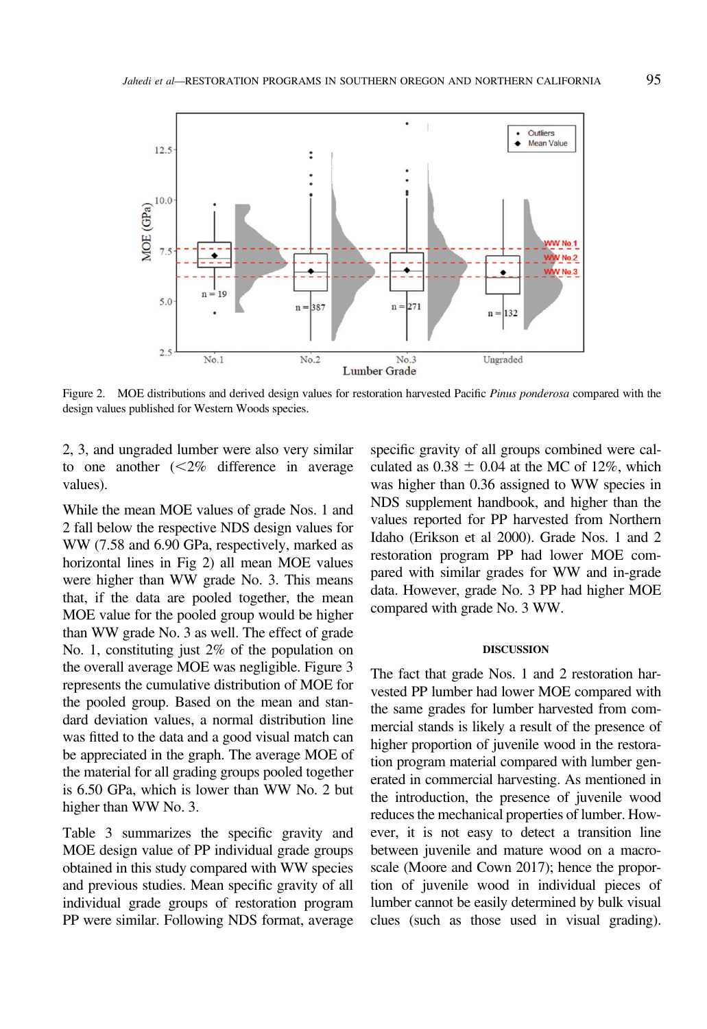<span id="page-5-0"></span>

Figure 2. MOE distributions and derived design values for restoration harvested Pacific Pinus ponderosa compared with the design values published for Western Woods species.

2, 3, and ungraded lumber were also very similar to one another  $\langle \langle 2\% \rangle$  difference in average values).

While the mean MOE values of grade Nos. 1 and 2 fall below the respective NDS design values for WW (7.58 and 6.90 GPa, respectively, marked as horizontal lines in Fig 2) all mean MOE values were higher than WW grade No. 3. This means that, if the data are pooled together, the mean MOE value for the pooled group would be higher than WW grade No. 3 as well. The effect of grade No. 1, constituting just 2% of the population on the overall average MOE was negligible. Figure [3](#page-6-0) represents the cumulative distribution of MOE for the pooled group. Based on the mean and standard deviation values, a normal distribution line was fitted to the data and a good visual match can be appreciated in the graph. The average MOE of the material for all grading groups pooled together is 6.50 GPa, which is lower than WW No. 2 but higher than WW No. 3.

Table [3](#page-6-0) summarizes the specific gravity and MOE design value of PP individual grade groups obtained in this study compared with WW species and previous studies. Mean specific gravity of all individual grade groups of restoration program PP were similar. Following NDS format, average

specific gravity of all groups combined were calculated as  $0.38 \pm 0.04$  at the MC of 12%, which was higher than 0.36 assigned to WW species in NDS supplement handbook, and higher than the values reported for PP harvested from Northern Idaho [\(Erikson et al 2000](#page-8-0)). Grade Nos. 1 and 2 restoration program PP had lower MOE compared with similar grades for WW and in-grade data. However, grade No. 3 PP had higher MOE compared with grade No. 3 WW.

#### DISCUSSION

The fact that grade Nos. 1 and 2 restoration harvested PP lumber had lower MOE compared with the same grades for lumber harvested from commercial stands is likely a result of the presence of higher proportion of juvenile wood in the restoration program material compared with lumber generated in commercial harvesting. As mentioned in the introduction, the presence of juvenile wood reduces the mechanical properties of lumber. However, it is not easy to detect a transition line between juvenile and mature wood on a macroscale [\(Moore and Cown 2017\)](#page-8-0); hence the proportion of juvenile wood in individual pieces of lumber cannot be easily determined by bulk visual clues (such as those used in visual grading).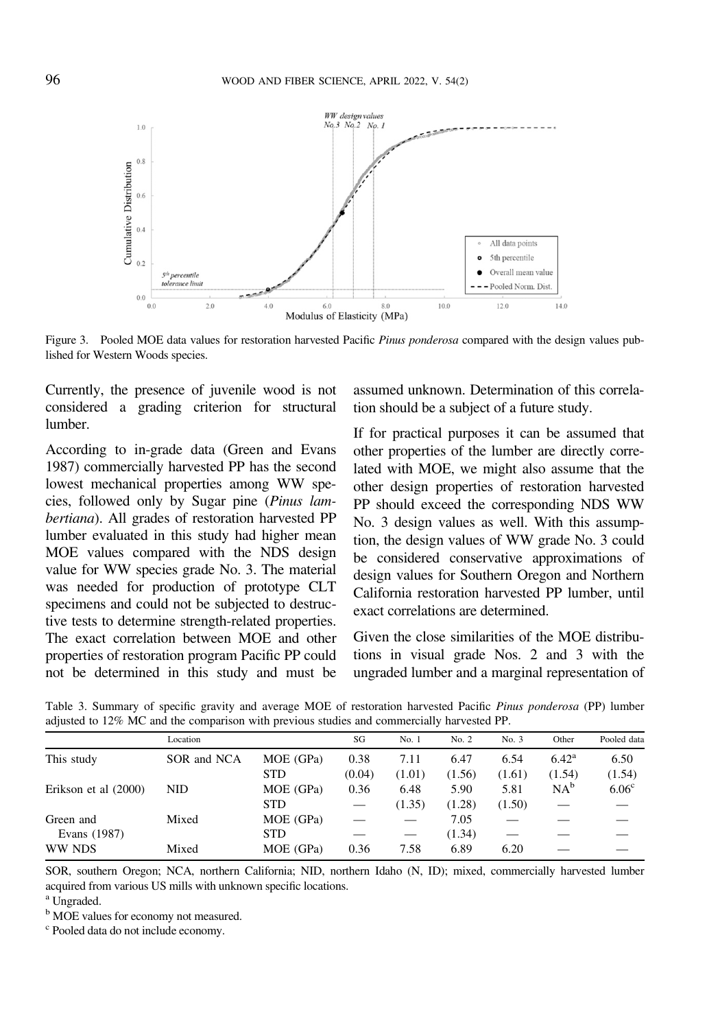<span id="page-6-0"></span>

Figure 3. Pooled MOE data values for restoration harvested Pacific Pinus ponderosa compared with the design values published for Western Woods species.

Currently, the presence of juvenile wood is not considered a grading criterion for structural lumber.

According to in-grade data ([Green and Evans](#page-8-0) [1987](#page-8-0)) commercially harvested PP has the second lowest mechanical properties among WW species, followed only by Sugar pine (Pinus lambertiana). All grades of restoration harvested PP lumber evaluated in this study had higher mean MOE values compared with the NDS design value for WW species grade No. 3. The material was needed for production of prototype CLT specimens and could not be subjected to destructive tests to determine strength-related properties. The exact correlation between MOE and other properties of restoration program Pacific PP could not be determined in this study and must be

assumed unknown. Determination of this correlation should be a subject of a future study.

If for practical purposes it can be assumed that other properties of the lumber are directly correlated with MOE, we might also assume that the other design properties of restoration harvested PP should exceed the corresponding NDS WW No. 3 design values as well. With this assumption, the design values of WW grade No. 3 could be considered conservative approximations of design values for Southern Oregon and Northern California restoration harvested PP lumber, until exact correlations are determined.

Given the close similarities of the MOE distributions in visual grade Nos. 2 and 3 with the ungraded lumber and a marginal representation of

|                      | Location    |            | SG     | No. 1  | No. 2  | No. 3  | Other          | Pooled data       |
|----------------------|-------------|------------|--------|--------|--------|--------|----------------|-------------------|
| This study           | SOR and NCA | MOE (GPa)  | 0.38   | 7.11   | 6.47   | 6.54   | $6.42^{\rm a}$ | 6.50              |
|                      |             | <b>STD</b> | (0.04) | (1.01) | (1.56) | (1.61) | (1.54)         | (1.54)            |
| Erikson et al (2000) | NID         | MOE (GPa)  | 0.36   | 6.48   | 5.90   | 5.81   | $NA^b$         | 6.06 <sup>c</sup> |
|                      |             | <b>STD</b> |        | (1.35) | (1.28) | (1.50) |                |                   |
| Green and            | Mixed       | MOE (GPa)  |        |        | 7.05   |        |                |                   |
| Evans (1987)         |             | <b>STD</b> |        |        | (1.34) |        |                |                   |
| WW NDS               | Mixed       | MOE (GPa)  | 0.36   | 7.58   | 6.89   | 6.20   |                |                   |
|                      |             |            |        |        |        |        |                |                   |

Table 3. Summary of specific gravity and average MOE of restoration harvested Pacific Pinus ponderosa (PP) lumber adjusted to 12% MC and the comparison with previous studies and commercially harvested PP.

SOR, southern Oregon; NCA, northern California; NID, northern Idaho (N, ID); mixed, commercially harvested lumber acquired from various US mills with unknown specific locations. <sup>a</sup> Ungraded.

<sup>b</sup> MOE values for economy not measured.

<sup>c</sup> Pooled data do not include economy.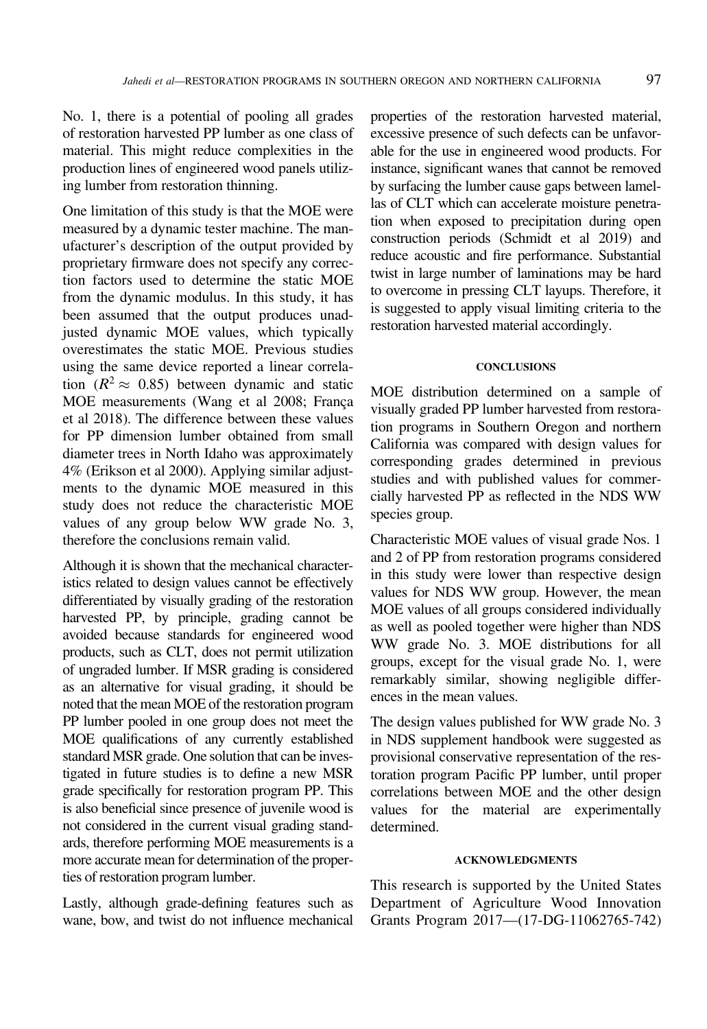No. 1, there is a potential of pooling all grades of restoration harvested PP lumber as one class of material. This might reduce complexities in the production lines of engineered wood panels utilizing lumber from restoration thinning.

One limitation of this study is that the MOE were measured by a dynamic tester machine. The manufacturer's description of the output provided by proprietary firmware does not specify any correction factors used to determine the static MOE from the dynamic modulus. In this study, it has been assumed that the output produces unadjusted dynamic MOE values, which typically overestimates the static MOE. Previous studies using the same device reported a linear correlation  $(R^2 \approx 0.85)$  between dynamic and static MOE measurements (Wang et al 2008; Franca [et al 2018\)](#page-8-0). The difference between these values for PP dimension lumber obtained from small diameter trees in North Idaho was approximately 4% ([Erikson et al 2000\)](#page-8-0). Applying similar adjustments to the dynamic MOE measured in this study does not reduce the characteristic MOE values of any group below WW grade No. 3, therefore the conclusions remain valid.

Although it is shown that the mechanical characteristics related to design values cannot be effectively differentiated by visually grading of the restoration harvested PP, by principle, grading cannot be avoided because standards for engineered wood products, such as CLT, does not permit utilization of ungraded lumber. If MSR grading is considered as an alternative for visual grading, it should be noted that the mean MOE of the restoration program PP lumber pooled in one group does not meet the MOE qualifications of any currently established standard MSR grade. One solution that can be investigated in future studies is to define a new MSR grade specifically for restoration program PP. This is also beneficial since presence of juvenile wood is not considered in the current visual grading standards, therefore performing MOE measurements is a more accurate mean for determination of the properties of restoration program lumber.

Lastly, although grade-defining features such as wane, bow, and twist do not influence mechanical properties of the restoration harvested material, excessive presence of such defects can be unfavorable for the use in engineered wood products. For instance, significant wanes that cannot be removed by surfacing the lumber cause gaps between lamellas of CLT which can accelerate moisture penetration when exposed to precipitation during open construction periods [\(Schmidt et al 2019](#page-8-0)) and reduce acoustic and fire performance. Substantial twist in large number of laminations may be hard to overcome in pressing CLT layups. Therefore, it is suggested to apply visual limiting criteria to the restoration harvested material accordingly.

### **CONCLUSIONS**

MOE distribution determined on a sample of visually graded PP lumber harvested from restoration programs in Southern Oregon and northern California was compared with design values for corresponding grades determined in previous studies and with published values for commercially harvested PP as reflected in the NDS WW species group.

Characteristic MOE values of visual grade Nos. 1 and 2 of PP from restoration programs considered in this study were lower than respective design values for NDS WW group. However, the mean MOE values of all groups considered individually as well as pooled together were higher than NDS WW grade No. 3. MOE distributions for all groups, except for the visual grade No. 1, were remarkably similar, showing negligible differences in the mean values.

The design values published for WW grade No. 3 in NDS supplement handbook were suggested as provisional conservative representation of the restoration program Pacific PP lumber, until proper correlations between MOE and the other design values for the material are experimentally determined.

#### ACKNOWLEDGMENTS

This research is supported by the United States Department of Agriculture Wood Innovation Grants Program 2017—(17-DG-11062765-742)